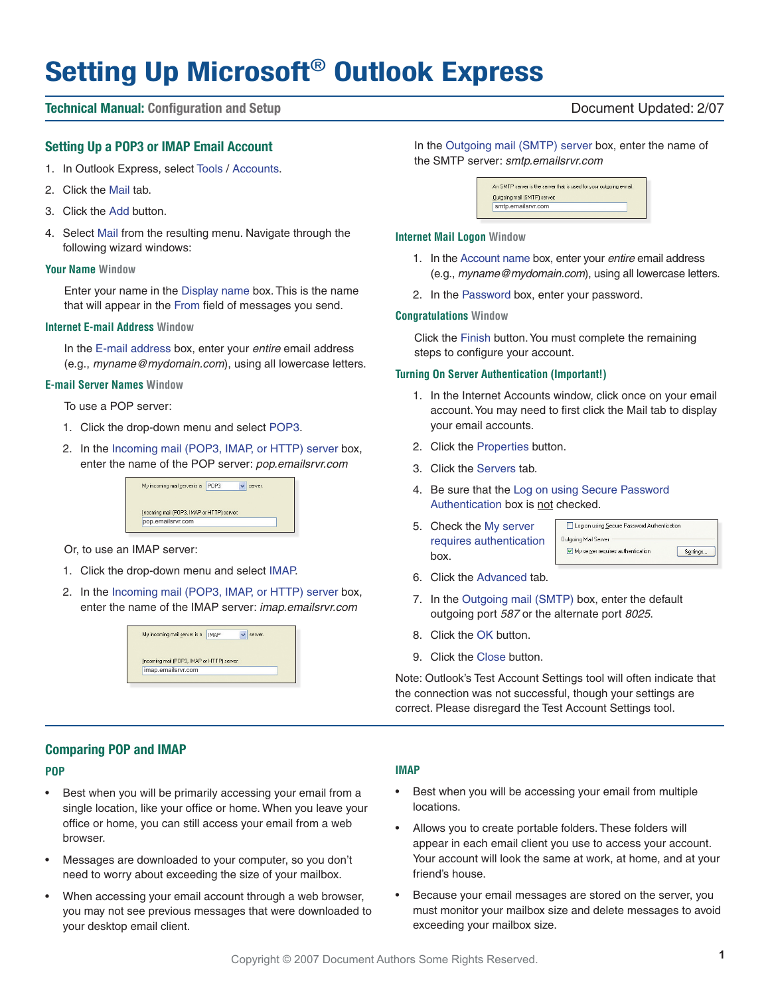# **Setting Up Microsoft**® **Outlook Express**

#### **Technical Manual: Configuration and Setup** Document Updated: 2/07

#### **Setting Up a POP3 or IMAP Email Account**

- 1. In Outlook Express, select Tools / Accounts.
- 2. Click the Mail tab.
- 3. Click the Add button.
- 4. Select Mail from the resulting menu. Navigate through the following wizard windows:

#### **Your Name Window**

Enter your name in the Display name box. This is the name that will appear in the From field of messages you send.

#### **Internet E-mail Address Window**

In the E-mail address box, enter your entire email address (e.g., myname@mydomain.com), using all lowercase letters.

#### **E-mail Server Names Window**

To use a POP server:

- 1. Click the drop-down menu and select POP3.
- 2. In the Incoming mail (POP3, IMAP, or HTTP) server box, enter the name of the POP server: pop.emailsrvr.com



Or, to use an IMAP server:

- 1. Click the drop-down menu and select IMAP.
- 2. In the Incoming mail (POP3, IMAP, or HTTP) server box, enter the name of the IMAP server: imap.emailsrvr.com

| My incoming mail server is a               | <b>IMAP</b> | server. |
|--------------------------------------------|-------------|---------|
|                                            |             |         |
| Incoming mail (POP3, IMAP or HTTP) server: |             |         |
| imap.emailsrvr.com                         |             |         |

#### In the Outgoing mail (SMTP) server box, enter the name of the SMTP server: smtp.emailsrvr.com

An SMTP server is the server that is used for your outgoing e-mail. Outgoing mail (SMTP) server smtp.emailsrvr.com

#### **Internet Mail Logon Window**

- 1. In the Account name box, enter your entire email address (e.g., myname@mydomain.com), using all lowercase letters.
- 2. In the Password box, enter your password.

#### **Congratulations Window**

Click the Finish button. You must complete the remaining steps to configure your account.

#### **Turning On Server Authentication (Important!)**

- 1. In the Internet Accounts window, click once on your email account. You may need to first click the Mail tab to display your email accounts.
- 2. Click the Properties button.
- 3. Click the Servers tab.
- 4. Be sure that the Log on using Secure Password Authentication box is not checked.
- 5. Check the My server requires authentication box.

| Log on using Secure Password Authentication |           |
|---------------------------------------------|-----------|
| <b>Outgoing Mail Server</b>                 |           |
| My server requires authentication           | Settings. |

- 6. Click the Advanced tab.
- 7. In the Outgoing mail (SMTP) box, enter the default outgoing port 587 or the alternate port 8025.
- 8. Click the OK button.
- 9. Click the Close button.

Note: Outlook's Test Account Settings tool will often indicate that the connection was not successful, though your settings are correct. Please disregard the Test Account Settings tool.

### **Comparing POP and IMAP**

#### **POP**

- Best when you will be primarily accessing your email from a single location, like your office or home. When you leave your office or home, you can still access your email from a web browser.
- Messages are downloaded to your computer, so you don't need to worry about exceeding the size of your mailbox.
- When accessing your email account through a web browser, you may not see previous messages that were downloaded to your desktop email client.

#### **IMAP**

- Best when you will be accessing your email from multiple locations.
- Allows you to create portable folders. These folders will appear in each email client you use to access your account. Your account will look the same at work, at home, and at your friend's house.
- Because your email messages are stored on the server, you must monitor your mailbox size and delete messages to avoid exceeding your mailbox size.